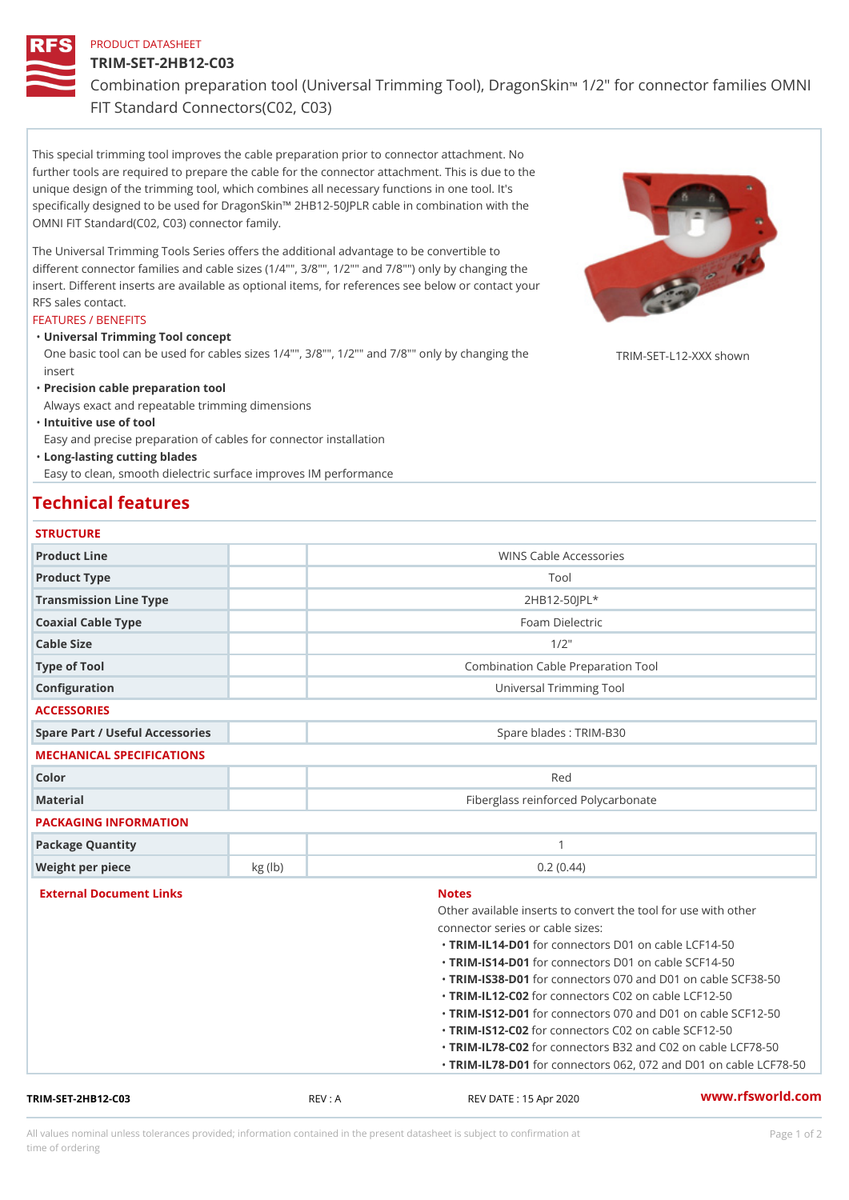### PRODUCT DATASHEET

## TRIM-SET-2HB12-C03

Combination preparation tool (Universal Trimming Tfoodle, oD on a goon'S kamili

FIT Standard Connectors(C02, C03)

This special trimming tool improves the cable preparation prior to connector attachment. No further tools are required to prepare the cable for the connector attachment. This is due to the unique design of the trimming tool, which combines all necessary functions in one tool. It's specifically designed to be used for DragonSkin!" 2HB12-50JPLR cable in combination with the OMNI FIT Standard(C02, C03) connector family.

The Universal Trimming Tools Series offers the additional advantage to be convertible to different connector families and cable sizes (1/4"", 3/8"", 1/2"" and 7/8"") only by changing the insert. Different inserts are available as optional items, for references see below or contact your RFS sales contact.

#### FEATURES / BENEFITS

Universal Trimming Tool concept "

One basic tool can be used for cables sizes 1/4"", 3/8"", 1/2"" and 7/8†RpMlgppvcphangykng shown insert

"Precision cable preparation tool

Always exact and repeatable trimming dimensions

"Intuitive use of tool

Easy and precise preparation of cables for connector installation

Long-lasting cutting blades "

Easy to clean, smooth dielectric surface improves IM performance

# Technical features

| <b>STRUCTURE</b> |  |  |  |  |
|------------------|--|--|--|--|
|                  |  |  |  |  |

| Product Line                    |        | WINS Cable Accessories                              |  |  |
|---------------------------------|--------|-----------------------------------------------------|--|--|
| Product Type                    |        | Tool                                                |  |  |
| Transmission Line Type          |        | $2H B12 - 50JPL*$                                   |  |  |
| Coaxial Cable Type              |        | Foam Dielectric                                     |  |  |
| Cable Size                      |        | $1/2$ "                                             |  |  |
| Type of Tool                    |        | Combination Cable Preparation Tool                  |  |  |
| Configuration                   |        | Universal Trimming Tool                             |  |  |
| <b>ACCESSORIES</b>              |        |                                                     |  |  |
| Spare Part / Useful Accessories |        | Spare blades : TRIM-B30                             |  |  |
| MECHANICAL SPECIFICATIONS       |        |                                                     |  |  |
| Color                           |        | Red                                                 |  |  |
| Material                        |        | Fiberglass reinforced Polycarbonate                 |  |  |
| PACKAGING INFORMATION           |        |                                                     |  |  |
| Package Quantity                |        | $\mathbf{1}$                                        |  |  |
| Weight per piece                | kg(lb) | 0.2(0.44)                                           |  |  |
| External Document Links         |        | <b>Notes</b>                                        |  |  |
|                                 |        | Other available inserts to convert the tool for use |  |  |
|                                 |        | connector series or cable sizes:                    |  |  |
|                                 |        | "TRIM-IL14-fDo01connectors D01 on cable LCF14-50    |  |  |
|                                 |        | "TRIM-IS14-fD01connectors D01 on cable SCF14-50     |  |  |
|                                 |        | "TRIM-IS38-fD01connectors 070 and D01 on cable S    |  |  |
|                                 |        | "TRIM-IL12-fC02connectors C02 on cable LCF12-50     |  |  |
|                                 |        | "TRIM-IS12-fD01connectors 070 and D01 on cable S    |  |  |
|                                 |        | "TRIM-IS12f602connectors C02 on cable SCF12-50      |  |  |
|                                 |        | "TRIM-IL78-f@02connectors B32 and C02 on cable L    |  |  |
|                                 |        |                                                     |  |  |

TRIM-SET-2HB12-C03 REV : A REV DATE : 15 Apr 2020 [www.](https://www.rfsworld.com)rfsworld.com

All values nominal unless tolerances provided; information contained in the present datasheet is subject to Pcapgeign manation time of ordering